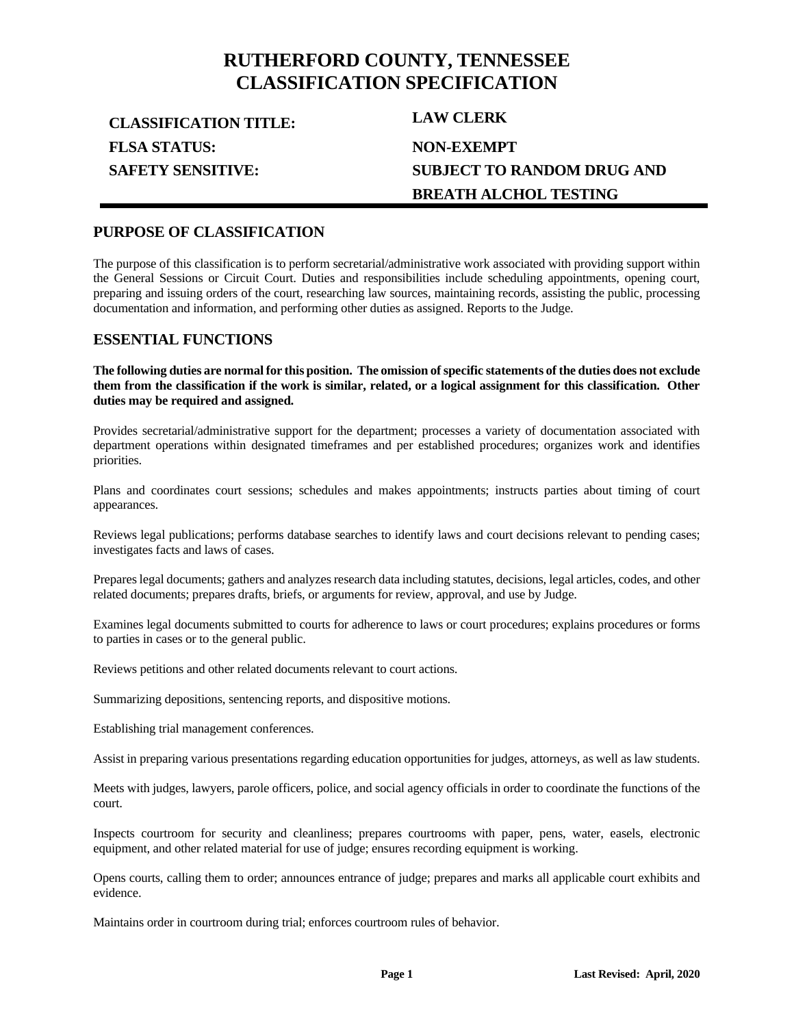## **RUTHERFORD COUNTY, TENNESSEE CLASSIFICATION SPECIFICATION**

**CLASSIFICATION TITLE: LAW CLERK FLSA STATUS: SAFETY SENSITIVE:**

# **NON-EXEMPT SUBJECT TO RANDOM DRUG AND BREATH ALCHOL TESTING**

## **PURPOSE OF CLASSIFICATION**

The purpose of this classification is to perform secretarial/administrative work associated with providing support within the General Sessions or Circuit Court. Duties and responsibilities include scheduling appointments, opening court, preparing and issuing orders of the court, researching law sources, maintaining records, assisting the public, processing documentation and information, and performing other duties as assigned. Reports to the Judge.

#### **ESSENTIAL FUNCTIONS**

**The following duties are normal for this position. The omission of specific statements of the duties does not exclude them from the classification if the work is similar, related, or a logical assignment for this classification. Other duties may be required and assigned.**

Provides secretarial/administrative support for the department; processes a variety of documentation associated with department operations within designated timeframes and per established procedures; organizes work and identifies priorities.

Plans and coordinates court sessions; schedules and makes appointments; instructs parties about timing of court appearances.

Reviews legal publications; performs database searches to identify laws and court decisions relevant to pending cases; investigates facts and laws of cases.

Prepares legal documents; gathers and analyzes research data including statutes, decisions, legal articles, codes, and other related documents; prepares drafts, briefs, or arguments for review, approval, and use by Judge.

Examines legal documents submitted to courts for adherence to laws or court procedures; explains procedures or forms to parties in cases or to the general public.

Reviews petitions and other related documents relevant to court actions.

Summarizing depositions, sentencing reports, and dispositive motions.

Establishing trial management conferences.

Assist in preparing various presentations regarding education opportunities for judges, attorneys, as well as law students.

Meets with judges, lawyers, parole officers, police, and social agency officials in order to coordinate the functions of the court.

Inspects courtroom for security and cleanliness; prepares courtrooms with paper, pens, water, easels, electronic equipment, and other related material for use of judge; ensures recording equipment is working.

Opens courts, calling them to order; announces entrance of judge; prepares and marks all applicable court exhibits and evidence.

Maintains order in courtroom during trial; enforces courtroom rules of behavior.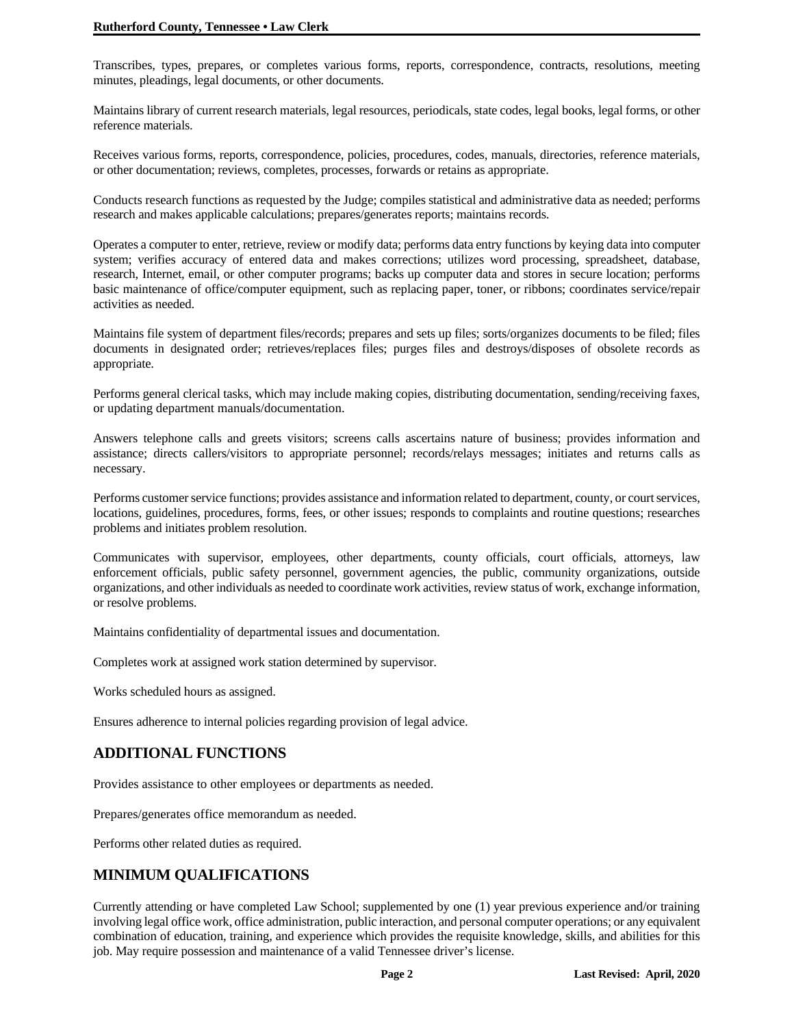Transcribes, types, prepares, or completes various forms, reports, correspondence, contracts, resolutions, meeting minutes, pleadings, legal documents, or other documents.

Maintains library of current research materials, legal resources, periodicals, state codes, legal books, legal forms, or other reference materials.

Receives various forms, reports, correspondence, policies, procedures, codes, manuals, directories, reference materials, or other documentation; reviews, completes, processes, forwards or retains as appropriate.

Conducts research functions as requested by the Judge; compiles statistical and administrative data as needed; performs research and makes applicable calculations; prepares/generates reports; maintains records.

Operates a computer to enter, retrieve, review or modify data; performs data entry functions by keying data into computer system; verifies accuracy of entered data and makes corrections; utilizes word processing, spreadsheet, database, research, Internet, email, or other computer programs; backs up computer data and stores in secure location; performs basic maintenance of office/computer equipment, such as replacing paper, toner, or ribbons; coordinates service/repair activities as needed.

Maintains file system of department files/records; prepares and sets up files; sorts/organizes documents to be filed; files documents in designated order; retrieves/replaces files; purges files and destroys/disposes of obsolete records as appropriate.

Performs general clerical tasks, which may include making copies, distributing documentation, sending/receiving faxes, or updating department manuals/documentation.

Answers telephone calls and greets visitors; screens calls ascertains nature of business; provides information and assistance; directs callers/visitors to appropriate personnel; records/relays messages; initiates and returns calls as necessary.

Performs customer service functions; provides assistance and information related to department, county, or court services, locations, guidelines, procedures, forms, fees, or other issues; responds to complaints and routine questions; researches problems and initiates problem resolution.

Communicates with supervisor, employees, other departments, county officials, court officials, attorneys, law enforcement officials, public safety personnel, government agencies, the public, community organizations, outside organizations, and other individuals as needed to coordinate work activities, review status of work, exchange information, or resolve problems.

Maintains confidentiality of departmental issues and documentation.

Completes work at assigned work station determined by supervisor.

Works scheduled hours as assigned.

Ensures adherence to internal policies regarding provision of legal advice.

## **ADDITIONAL FUNCTIONS**

Provides assistance to other employees or departments as needed.

Prepares/generates office memorandum as needed.

Performs other related duties as required.

## **MINIMUM QUALIFICATIONS**

Currently attending or have completed Law School; supplemented by one (1) year previous experience and/or training involving legal office work, office administration, public interaction, and personal computer operations; or any equivalent combination of education, training, and experience which provides the requisite knowledge, skills, and abilities for this job. May require possession and maintenance of a valid Tennessee driver's license.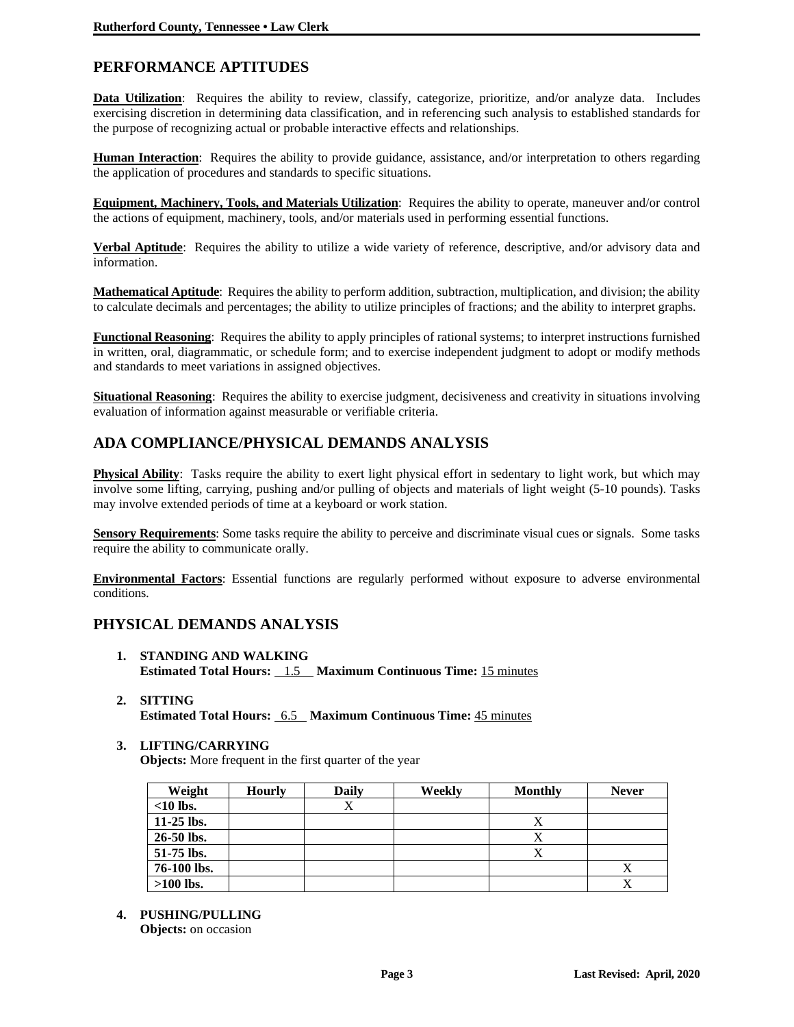## **PERFORMANCE APTITUDES**

**Data Utilization**: Requires the ability to review, classify, categorize, prioritize, and/or analyze data. Includes exercising discretion in determining data classification, and in referencing such analysis to established standards for the purpose of recognizing actual or probable interactive effects and relationships.

**Human Interaction**: Requires the ability to provide guidance, assistance, and/or interpretation to others regarding the application of procedures and standards to specific situations.

**Equipment, Machinery, Tools, and Materials Utilization**: Requires the ability to operate, maneuver and/or control the actions of equipment, machinery, tools, and/or materials used in performing essential functions.

**Verbal Aptitude**: Requires the ability to utilize a wide variety of reference, descriptive, and/or advisory data and information.

**Mathematical Aptitude**: Requires the ability to perform addition, subtraction, multiplication, and division; the ability to calculate decimals and percentages; the ability to utilize principles of fractions; and the ability to interpret graphs.

**Functional Reasoning**: Requires the ability to apply principles of rational systems; to interpret instructions furnished in written, oral, diagrammatic, or schedule form; and to exercise independent judgment to adopt or modify methods and standards to meet variations in assigned objectives.

**Situational Reasoning**: Requires the ability to exercise judgment, decisiveness and creativity in situations involving evaluation of information against measurable or verifiable criteria.

## **ADA COMPLIANCE/PHYSICAL DEMANDS ANALYSIS**

**Physical Ability**: Tasks require the ability to exert light physical effort in sedentary to light work, but which may involve some lifting, carrying, pushing and/or pulling of objects and materials of light weight (5-10 pounds). Tasks may involve extended periods of time at a keyboard or work station.

**Sensory Requirements**: Some tasks require the ability to perceive and discriminate visual cues or signals. Some tasks require the ability to communicate orally.

**Environmental Factors**: Essential functions are regularly performed without exposure to adverse environmental conditions.

### **PHYSICAL DEMANDS ANALYSIS**

- **1. STANDING AND WALKING Estimated Total Hours:** 1.5 **Maximum Continuous Time:** 15 minutes
- **2. SITTING Estimated Total Hours:** 6.5 **Maximum Continuous Time:** 45 minutes
- **3. LIFTING/CARRYING**

**Objects:** More frequent in the first quarter of the year

| Weight      | <b>Hourly</b> | Daily | Weekly | <b>Monthly</b> | <b>Never</b> |
|-------------|---------------|-------|--------|----------------|--------------|
| $<$ 10 lbs. |               | △     |        |                |              |
| 11-25 lbs.  |               |       |        |                |              |
| 26-50 lbs.  |               |       |        | Х              |              |
| 51-75 lbs.  |               |       |        | Х              |              |
| 76-100 lbs. |               |       |        |                |              |
| $>100$ lbs. |               |       |        |                |              |

**4. PUSHING/PULLING**

**Objects:** on occasion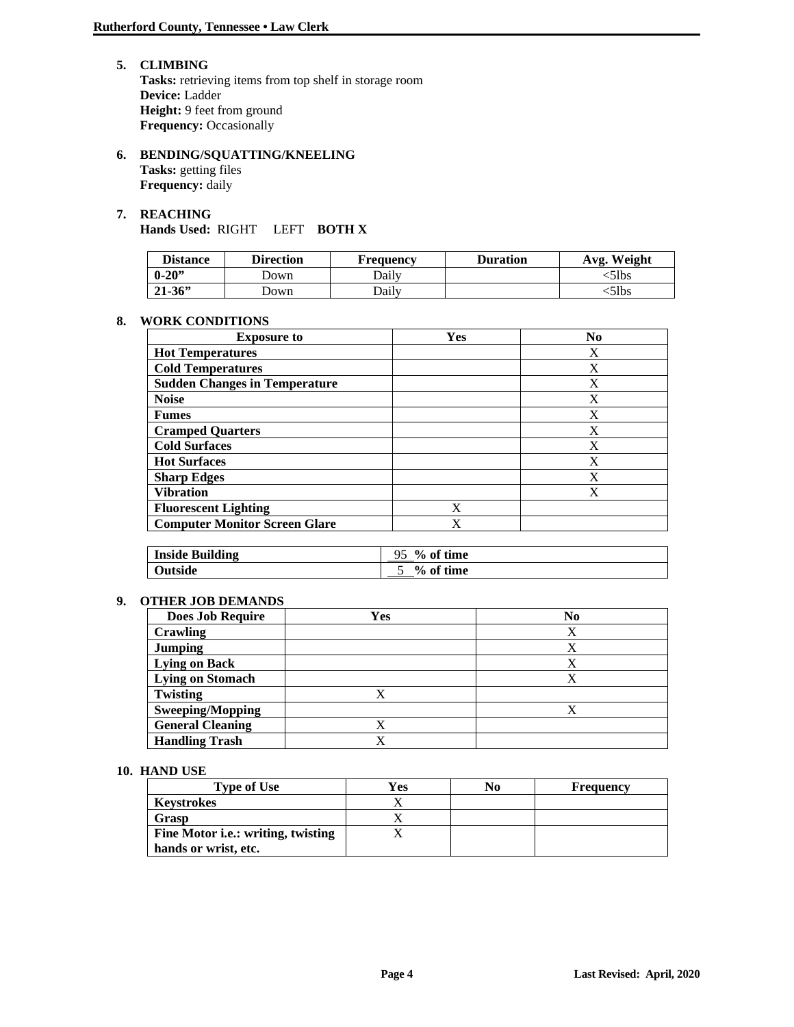- **5. CLIMBING** Tasks: retrieving items from top shelf in storage room **Device:** Ladder **Height:** 9 feet from ground **Frequency: Occasionally**
- **6. BENDING/SQUATTING/KNEELING Tasks:** getting files **Frequency:** daily

#### **7. REACHING Hands Used:** RIGHT LEFT **BOTH X**

| <b>Distance</b> | <b>Direction</b> | <b>Frequency</b> | <b>Duration</b> | Avg. Weight |
|-----------------|------------------|------------------|-----------------|-------------|
| $0 - 20$        | ⊃own             | Dailv            |                 | <51bs       |
| $21 - 36$       | Jown             | Dailv            |                 | <51bs       |

#### **8. WORK CONDITIONS**

| <b>Exposure to</b>                   | Yes | N <sub>0</sub> |
|--------------------------------------|-----|----------------|
| <b>Hot Temperatures</b>              |     | X              |
| <b>Cold Temperatures</b>             |     | X              |
| <b>Sudden Changes in Temperature</b> |     | X              |
| <b>Noise</b>                         |     | X              |
| <b>Fumes</b>                         |     | X              |
| <b>Cramped Quarters</b>              |     | X              |
| <b>Cold Surfaces</b>                 |     | X              |
| <b>Hot Surfaces</b>                  |     | X              |
| <b>Sharp Edges</b>                   |     | X              |
| <b>Vibration</b>                     |     | X              |
| <b>Fluorescent Lighting</b>          | X   |                |
| <b>Computer Monitor Screen Glare</b> | X   |                |

| <b>Inside Building</b> | $\%$ of time<br>۵۲ |
|------------------------|--------------------|
| Outside                | % of time          |

#### **9. OTHER JOB DEMANDS**

| <b>Does Job Require</b> | Yes | N <sub>0</sub> |
|-------------------------|-----|----------------|
| Crawling                |     | Χ              |
| <b>Jumping</b>          |     | Х              |
| <b>Lying on Back</b>    |     |                |
| Lying on Stomach        |     |                |
| Twisting                |     |                |
| <b>Sweeping/Mopping</b> |     |                |
| <b>General Cleaning</b> |     |                |
| <b>Handling Trash</b>   |     |                |

#### **10. HAND USE**

| <b>Type of Use</b>                         | Yes | NO | <b>Frequency</b> |
|--------------------------------------------|-----|----|------------------|
| <b>Keystrokes</b>                          |     |    |                  |
| Grasp                                      |     |    |                  |
| Fine Motor <i>i.e.</i> : writing, twisting |     |    |                  |
| hands or wrist, etc.                       |     |    |                  |